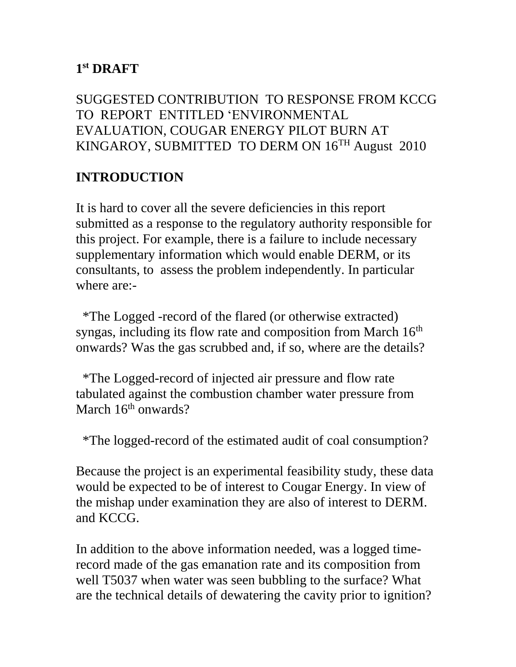### **1 st DRAFT**

SUGGESTED CONTRIBUTION TO RESPONSE FROM KCCG TO REPORT ENTITLED 'ENVIRONMENTAL EVALUATION, COUGAR ENERGY PILOT BURN AT KINGAROY, SUBMITTED TO DERM ON 16TH August 2010

# **INTRODUCTION**

It is hard to cover all the severe deficiencies in this report submitted as a response to the regulatory authority responsible for this project. For example, there is a failure to include necessary supplementary information which would enable DERM, or its consultants, to assess the problem independently. In particular where are:-

 \*The Logged -record of the flared (or otherwise extracted) syngas, including its flow rate and composition from March 16<sup>th</sup> onwards? Was the gas scrubbed and, if so, where are the details?

 \*The Logged-record of injected air pressure and flow rate tabulated against the combustion chamber water pressure from March  $16<sup>th</sup>$  onwards?

\*The logged-record of the estimated audit of coal consumption?

Because the project is an experimental feasibility study, these data would be expected to be of interest to Cougar Energy. In view of the mishap under examination they are also of interest to DERM. and KCCG.

In addition to the above information needed, was a logged timerecord made of the gas emanation rate and its composition from well T5037 when water was seen bubbling to the surface? What are the technical details of dewatering the cavity prior to ignition?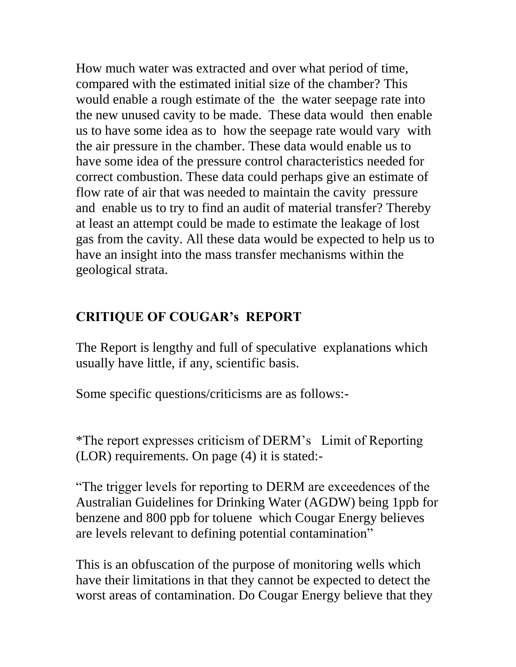How much water was extracted and over what period of time, compared with the estimated initial size of the chamber? This would enable a rough estimate of the the water seepage rate into the new unused cavity to be made. These data would then enable us to have some idea as to how the seepage rate would vary with the air pressure in the chamber. These data would enable us to have some idea of the pressure control characteristics needed for correct combustion. These data could perhaps give an estimate of flow rate of air that was needed to maintain the cavity pressure and enable us to try to find an audit of material transfer? Thereby at least an attempt could be made to estimate the leakage of lost gas from the cavity. All these data would be expected to help us to have an insight into the mass transfer mechanisms within the geological strata.

# **CRITIQUE OF COUGAR's REPORT**

The Report is lengthy and full of speculative explanations which usually have little, if any, scientific basis.

Some specific questions/criticisms are as follows:-

\*The report expresses criticism of DERM's Limit of Reporting (LOR) requirements. On page (4) it is stated:-

"The trigger levels for reporting to DERM are exceedences of the Australian Guidelines for Drinking Water (AGDW) being 1ppb for benzene and 800 ppb for toluene which Cougar Energy believes are levels relevant to defining potential contamination"

This is an obfuscation of the purpose of monitoring wells which have their limitations in that they cannot be expected to detect the worst areas of contamination. Do Cougar Energy believe that they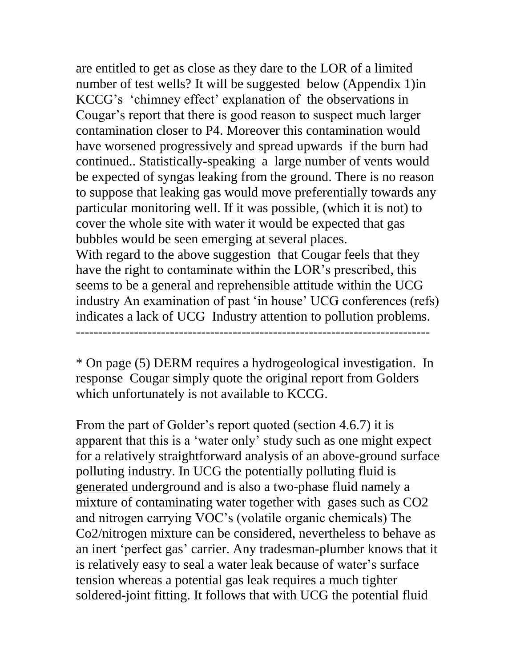are entitled to get as close as they dare to the LOR of a limited number of test wells? It will be suggested below (Appendix 1)in KCCG's 'chimney effect' explanation of the observations in Cougar's report that there is good reason to suspect much larger contamination closer to P4. Moreover this contamination would have worsened progressively and spread upwards if the burn had continued.. Statistically-speaking a large number of vents would be expected of syngas leaking from the ground. There is no reason to suppose that leaking gas would move preferentially towards any particular monitoring well. If it was possible, (which it is not) to cover the whole site with water it would be expected that gas bubbles would be seen emerging at several places.

With regard to the above suggestion that Cougar feels that they have the right to contaminate within the LOR's prescribed, this seems to be a general and reprehensible attitude within the UCG industry An examination of past 'in house' UCG conferences (refs) indicates a lack of UCG Industry attention to pollution problems. -------------------------------------------------------------------------------

\* On page (5) DERM requires a hydrogeological investigation. In response Cougar simply quote the original report from Golders which unfortunately is not available to KCCG.

From the part of Golder's report quoted (section 4.6.7) it is apparent that this is a 'water only' study such as one might expect for a relatively straightforward analysis of an above-ground surface polluting industry. In UCG the potentially polluting fluid is generated underground and is also a two-phase fluid namely a mixture of contaminating water together with gases such as CO2 and nitrogen carrying VOC's (volatile organic chemicals) The Co2/nitrogen mixture can be considered, nevertheless to behave as an inert 'perfect gas' carrier. Any tradesman-plumber knows that it is relatively easy to seal a water leak because of water's surface tension whereas a potential gas leak requires a much tighter soldered-joint fitting. It follows that with UCG the potential fluid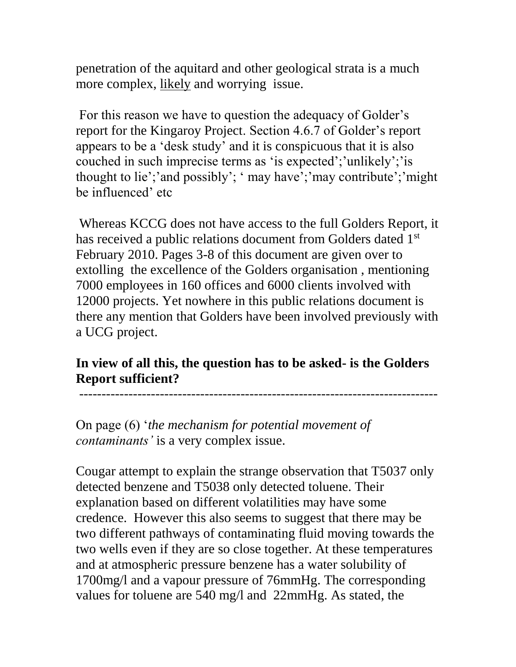penetration of the aquitard and other geological strata is a much more complex, likely and worrying issue.

For this reason we have to question the adequacy of Golder's report for the Kingaroy Project. Section 4.6.7 of Golder's report appears to be a 'desk study' and it is conspicuous that it is also couched in such imprecise terms as 'is expected';'unlikely';'is thought to lie';'and possibly'; ' may have';'may contribute';'might be influenced' etc

Whereas KCCG does not have access to the full Golders Report, it has received a public relations document from Golders dated 1<sup>st</sup> February 2010. Pages 3-8 of this document are given over to extolling the excellence of the Golders organisation , mentioning 7000 employees in 160 offices and 6000 clients involved with 12000 projects. Yet nowhere in this public relations document is there any mention that Golders have been involved previously with a UCG project.

## **In view of all this, the question has to be asked- is the Golders Report sufficient?**

--------------------------------------------------------------------------------

On page (6) '*the mechanism for potential movement of contaminants'* is a very complex issue.

Cougar attempt to explain the strange observation that T5037 only detected benzene and T5038 only detected toluene. Their explanation based on different volatilities may have some credence. However this also seems to suggest that there may be two different pathways of contaminating fluid moving towards the two wells even if they are so close together. At these temperatures and at atmospheric pressure benzene has a water solubility of 1700mg/l and a vapour pressure of 76mmHg. The corresponding values for toluene are 540 mg/l and 22mmHg. As stated, the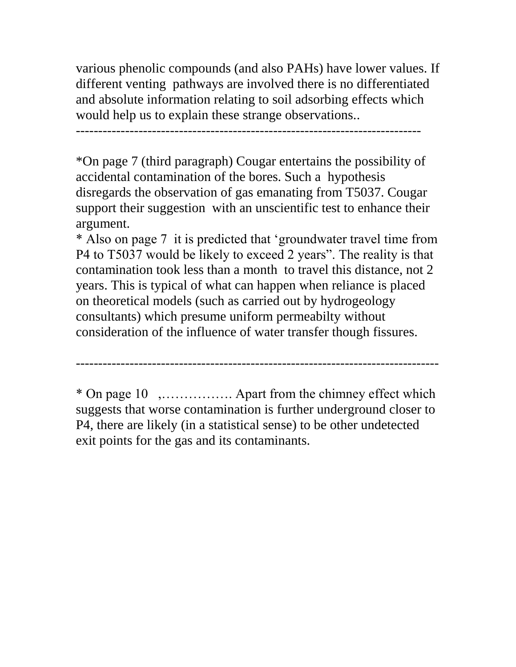various phenolic compounds (and also PAHs) have lower values. If different venting pathways are involved there is no differentiated and absolute information relating to soil adsorbing effects which would help us to explain these strange observations..

-----------------------------------------------------------------------------

\*On page 7 (third paragraph) Cougar entertains the possibility of accidental contamination of the bores. Such a hypothesis disregards the observation of gas emanating from T5037. Cougar support their suggestion with an unscientific test to enhance their argument.

\* Also on page 7 it is predicted that 'groundwater travel time from P4 to T5037 would be likely to exceed 2 years". The reality is that contamination took less than a month to travel this distance, not 2 years. This is typical of what can happen when reliance is placed on theoretical models (such as carried out by hydrogeology consultants) which presume uniform permeabilty without consideration of the influence of water transfer though fissures.

\* On page 10 ,……………. Apart from the chimney effect which suggests that worse contamination is further underground closer to P4, there are likely (in a statistical sense) to be other undetected

exit points for the gas and its contaminants.

---------------------------------------------------------------------------------